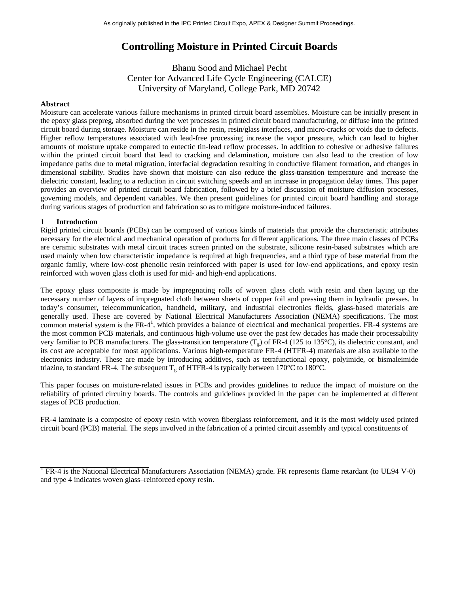# **Controlling Moisture in Printed Circuit Boards**

Bhanu Sood and Michael Pecht Center for Advanced Life Cycle Engineering (CALCE) University of Maryland, College Park, MD 20742

#### **Abstract**

Moisture can accelerate various failure mechanisms in printed circuit board assemblies. Moisture can be initially present in the epoxy glass prepreg, absorbed during the wet processes in printed circuit board manufacturing, or diffuse into the printed circuit board during storage. Moisture can reside in the resin, resin/glass interfaces, and micro-cracks or voids due to defects. Higher reflow temperatures associated with lead-free processing increase the vapor pressure, which can lead to higher amounts of moisture uptake compared to eutectic tin-lead reflow processes. In addition to cohesive or adhesive failures within the printed circuit board that lead to cracking and delamination, moisture can also lead to the creation of low impedance paths due to metal migration, interfacial degradation resulting in conductive filament formation, and changes in dimensional stability. Studies have shown that moisture can also reduce the glass-transition temperature and increase the dielectric constant, leading to a reduction in circuit switching speeds and an increase in propagation delay times. This paper provides an overview of printed circuit board fabrication, followed by a brief discussion of moisture diffusion processes, governing models, and dependent variables. We then present guidelines for printed circuit board handling and storage during various stages of production and fabrication so as to mitigate moisture-induced failures.

## **1 Introduction**

Rigid printed circuit boards (PCBs) can be composed of various kinds of materials that provide the characteristic attributes necessary for the electrical and mechanical operation of products for different applications. The three main classes of PCBs are ceramic substrates with metal circuit traces screen printed on the substrate, silicone resin-based substrates which are used mainly when low characteristic impedance is required at high frequencies, and a third type of base material from the organic family, where low-cost phenolic resin reinforced with paper is used for low-end applications, and epoxy resin reinforced with woven glass cloth is used for mid- and high-end applications.

The epoxy glass composite is made by impregnating rolls of woven glass cloth with resin and then laying up the necessary number of layers of impregnated cloth between sheets of copper foil and pressing them in hydraulic presses. In today's consumer, telecommunication, handheld, military, and industrial electronics fields, glass-based materials are generally used. These are covered by National Electrical Manufacturers Association (NEMA) specifications. The most common material system is the FR- $4^1$ , which provides a balance of electrical and mechanical properties. FR-4 systems are the most common PCB materials, and continuous high-volume use over the past few decades has made their processability very familiar to PCB manufacturers. The glass-transition temperature  $(T_g)$  of FR-4 (125 to 135°C), its dielectric constant, and its cost are acceptable for most applications. Various high-temperature FR-4 (HTFR-4) materials are also available to the electronics industry. These are made by introducing additives, such as tetrafunctional epoxy, polyimide, or bismaleimide triazine, to standard FR-4. The subsequent  $T_g$  of HTFR-4 is typically between 170°C to 180°C.

This paper focuses on moisture-related issues in PCBs and provides guidelines to reduce the impact of moisture on the reliability of printed circuitry boards. The controls and guidelines provided in the paper can be implemented at different stages of PCB production.

FR-4 laminate is a composite of epoxy resin with woven fiberglass reinforcement, and it is the most widely used printed circuit board (PCB) material. The steps involved in the fabrication of a printed circuit assembly and typical constituents of

<sup>&</sup>lt;sup>1</sup> FR-4 is the National Electrical Manufacturers Association (NEMA) grade. FR represents flame retardant (to UL94 V-0) and type 4 indicates woven glass–reinforced epoxy resin.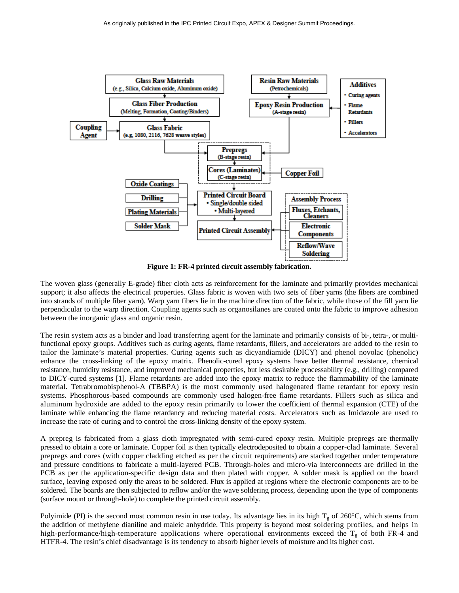

**Figure 1: FR-4 printed circuit assembly fabrication.**

The woven glass (generally E-grade) fiber cloth acts as reinforcement for the laminate and primarily provides mechanical support; it also affects the electrical properties. Glass fabric is woven with two sets of fiber yarns (the fibers are combined into strands of multiple fiber yarn). Warp yarn fibers lie in the machine direction of the fabric, while those of the fill yarn lie perpendicular to the warp direction. Coupling agents such as organosilanes are coated onto the fabric to improve adhesion between the inorganic glass and organic resin.

The resin system acts as a binder and load transferring agent for the laminate and primarily consists of bi-, tetra-, or multifunctional epoxy groups. Additives such as curing agents, flame retardants, fillers, and accelerators are added to the resin to tailor the laminate's material properties. Curing agents such as dicyandiamide (DICY) and phenol novolac (phenolic) enhance the cross-linking of the epoxy matrix. Phenolic-cured epoxy systems have better thermal resistance, chemical resistance, humidity resistance, and improved mechanical properties, but less desirable processability (e.g., drilling) compared to DICY-cured systems [1]. Flame retardants are added into the epoxy matrix to reduce the flammability of the laminate material. Tetrabromobisphenol-A (TBBPA) is the most commonly used halogenated flame retardant for epoxy resin systems. Phosphorous-based compounds are commonly used halogen-free flame retardants. Fillers such as silica and aluminum hydroxide are added to the epoxy resin primarily to lower the coefficient of thermal expansion (CTE) of the laminate while enhancing the flame retardancy and reducing material costs. Accelerators such as Imidazole are used to increase the rate of curing and to control the cross-linking density of the epoxy system.

A prepreg is fabricated from a glass cloth impregnated with semi-cured epoxy resin. Multiple prepregs are thermally pressed to obtain a core or laminate. Copper foil is then typically electrodeposited to obtain a copper-clad laminate. Several prepregs and cores (with copper cladding etched as per the circuit requirements) are stacked together under temperature and pressure conditions to fabricate a multi-layered PCB. Through-holes and micro-via interconnects are drilled in the PCB as per the application-specific design data and then plated with copper. A solder mask is applied on the board surface, leaving exposed only the areas to be soldered. Flux is applied at regions where the electronic components are to be soldered. The boards are then subjected to reflow and/or the wave soldering process, depending upon the type of components (surface mount or through-hole) to complete the printed circuit assembly.

Polyimide (PI) is the second most common resin in use today. Its advantage lies in its high  $T<sub>g</sub>$  of 260°C, which stems from the addition of methylene dianiline and maleic anhydride. This property is beyond most soldering profiles, and helps in high-performance/high-temperature applications where operational environments exceed the  $T_g$  of both FR-4 and HTFR-4. The resin's chief disadvantage is its tendency to absorb higher levels of moisture and its higher cost.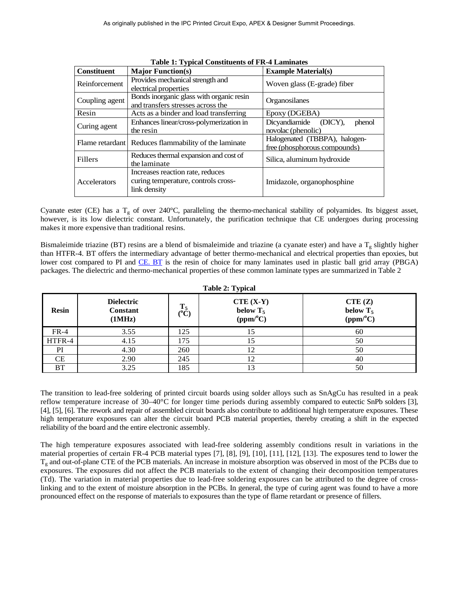**Table 1: Typical Constituents of FR-4 Laminates**

| <b>Constituent</b> | <b>Major Function(s)</b>                                                                | <b>Example Material(s)</b>                                    |  |  |
|--------------------|-----------------------------------------------------------------------------------------|---------------------------------------------------------------|--|--|
| Reinforcement      | Provides mechanical strength and<br>electrical properties                               | Woven glass (E-grade) fiber                                   |  |  |
| Coupling agent     | Bonds inorganic glass with organic resin<br>and transfers stresses across the           | Organosilanes                                                 |  |  |
| Resin              | Acts as a binder and load transferring                                                  | Epoxy (DGEBA)                                                 |  |  |
| Curing agent       | Enhances linear/cross-polymerization in<br>the resin                                    | Dicyandiamide<br>(DICY),<br>phenol<br>novolac (phenolic)      |  |  |
|                    | Flame retardant Reduces flammability of the laminate                                    | Halogenated (TBBPA), halogen-<br>free (phosphorous compounds) |  |  |
| <b>Fillers</b>     | Reduces thermal expansion and cost of<br>the laminate                                   | Silica, aluminum hydroxide                                    |  |  |
| Accelerators       | Increases reaction rate, reduces<br>curing temperature, controls cross-<br>link density | Imidazole, organophosphine                                    |  |  |

Cyanate ester (CE) has a  $T_g$  of over 240°C, paralleling the thermo-mechanical stability of polyamides. Its biggest asset, however, is its low dielectric constant. Unfortunately, the purification technique that CE undergoes during processing makes it more expensive than traditional resins.

Bismaleimide triazine (BT) resins are a blend of bismaleimide and triazine (a cyanate ester) and have a  $T_g$  slightly higher than HTFR-4. BT offers the intermediary advantage of better thermo-mechanical and electrical properties than epoxies, but lower cost compared to PI and [CE. BT](http://ce.bt/) is the resin of choice for many laminates used in plastic ball grid array (PBGA) packages. The dielectric and thermo-mechanical properties of these common laminate types are summarized in Table 2

| <b>Table 2: Typical</b> |                                                |                        |                                        |                                   |  |  |  |
|-------------------------|------------------------------------------------|------------------------|----------------------------------------|-----------------------------------|--|--|--|
| <b>Resin</b>            | <b>Dielectric</b><br><b>Constant</b><br>(1MHz) | $T_5$<br>$(^{\circ}C)$ | $CTE (X-Y)$<br>below $T_5$<br>(ppm/°C) | CTE(Z)<br>below $T_5$<br>(ppm/°C) |  |  |  |
| $FR-4$                  | 3.55                                           | 125                    | 15                                     | 60                                |  |  |  |
| HTFR-4                  | 4.15                                           | 175                    |                                        | 50                                |  |  |  |
| PI                      | 4.30                                           | 260                    | 12                                     | 50                                |  |  |  |
| <b>CE</b>               | 2.90                                           | 245                    | 12                                     | 40                                |  |  |  |
| BT                      | 3.25                                           | 185                    | 13                                     | 50                                |  |  |  |

The transition to lead-free soldering of printed circuit boards using solder alloys such as SnAgCu has resulted in a peak reflow temperature increase of 30–40°C for longer time periods during assembly compared to eutectic SnPb solders [3], [4], [5], [6]. The rework and repair of assembled circuit boards also contribute to additional high temperature exposures. These high temperature exposures can alter the circuit board PCB material properties, thereby creating a shift in the expected reliability of the board and the entire electronic assembly.

The high temperature exposures associated with lead-free soldering assembly conditions result in variations in the material properties of certain FR-4 PCB material types [7], [8], [9], [10], [11], [12], [13]. The exposures tend to lower the Tg and out-of-plane CTE of the PCB materials. An increase in moisture absorption was observed in most of the PCBs due to exposures. The exposures did not affect the PCB materials to the extent of changing their decomposition temperatures (Td). The variation in material properties due to lead-free soldering exposures can be attributed to the degree of crosslinking and to the extent of moisture absorption in the PCBs. In general, the type of curing agent was found to have a more pronounced effect on the response of materials to exposures than the type of flame retardant or presence of fillers.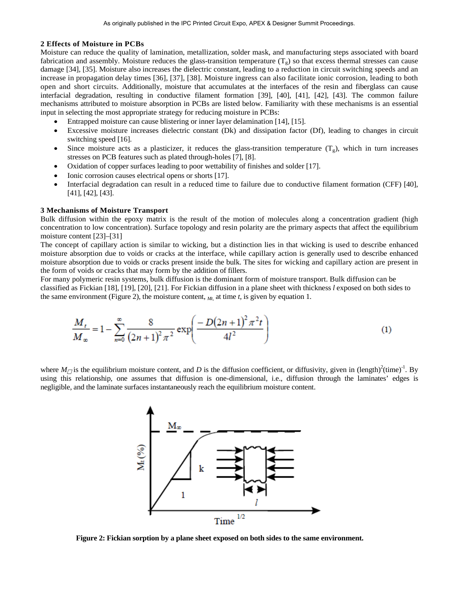#### **2 Effects of Moisture in PCBs**

Moisture can reduce the quality of lamination, metallization, solder mask, and manufacturing steps associated with board fabrication and assembly. Moisture reduces the glass-transition temperature  $(T_g)$  so that excess thermal stresses can cause damage [34], [35]. Moisture also increases the dielectric constant, leading to a reduction in circuit switching speeds and an increase in propagation delay times [36], [37], [38]. Moisture ingress can also facilitate ionic corrosion, leading to both open and short circuits. Additionally, moisture that accumulates at the interfaces of the resin and fiberglass can cause interfacial degradation, resulting in conductive filament formation [39], [40], [41], [42], [43]. The common failure mechanisms attributed to moisture absorption in PCBs are listed below. Familiarity with these mechanisms is an essential input in selecting the most appropriate strategy for reducing moisture in PCBs:

- Entrapped moisture can cause blistering or inner layer delamination [14], [15].
- Excessive moisture increases dielectric constant (Dk) and dissipation factor (Df), leading to changes in circuit switching speed [16].
- Since moisture acts as a plasticizer, it reduces the glass-transition temperature  $(T_g)$ , which in turn increases stresses on PCB features such as plated through-holes [7], [8].
- Oxidation of copper surfaces leading to poor wettability of finishes and solder [17].
- Ionic corrosion causes electrical opens or shorts [17].
- Interfacial degradation can result in a reduced time to failure due to conductive filament formation (CFF) [40], [41], [42], [43].

#### **3 Mechanisms of Moisture Transport**

Bulk diffusion within the epoxy matrix is the result of the motion of molecules along a concentration gradient (high concentration to low concentration). Surface topology and resin polarity are the primary aspects that affect the equilibrium moisture content [23]–[31]

The concept of capillary action is similar to wicking, but a distinction lies in that wicking is used to describe enhanced moisture absorption due to voids or cracks at the interface, while capillary action is generally used to describe enhanced moisture absorption due to voids or cracks present inside the bulk. The sites for wicking and capillary action are present in the form of voids or cracks that may form by the addition of fillers.

For many polymeric resin systems, bulk diffusion is the dominant form of moisture transport. Bulk diffusion can be classified as Fickian [18], [19], [20], [21]. For Fickian diffusion in a plane sheet with thickness *l* exposed on both sides to the same environment (Figure 2), the moisture content,  $M_t$ , at time  $t$ , is given by equation 1.

$$
\frac{M_t}{M_{\infty}} = 1 - \sum_{n=0}^{\infty} \frac{8}{(2n+1)^2 \pi^2} \exp\left(\frac{-D(2n+1)^2 \pi^2 t}{4l^2}\right)
$$
(1)

where  $M_{\Box}$  is the equilibrium moisture content, and D is the diffusion coefficient, or diffusivity, given in (length)<sup>2</sup>(time)<sup>-1</sup>. By using this relationship, one assumes that diffusion is one-dimensional, i.e., diffusion through the laminates' edges is negligible, and the laminate surfaces instantaneously reach the equilibrium moisture content.



**Figure 2: Fickian sorption by a plane sheet exposed on both sides to the same environment.**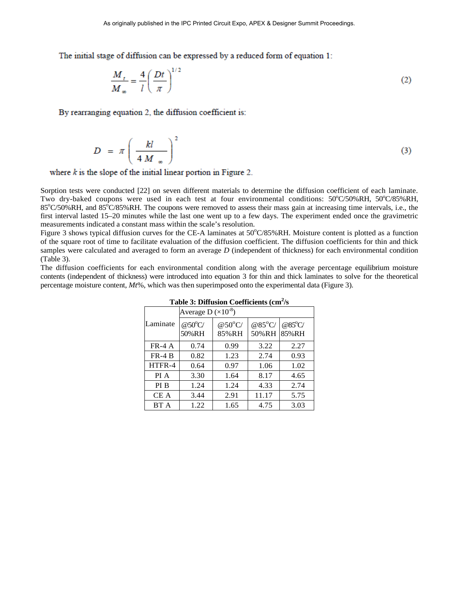The initial stage of diffusion can be expressed by a reduced form of equation 1:

$$
\frac{M_t}{M_\infty} = \frac{4}{l} \left(\frac{Dt}{\pi}\right)^{1/2} \tag{2}
$$

By rearranging equation 2, the diffusion coefficient is:

$$
D = \pi \left(\frac{kl}{4 M_{\infty}}\right)^2 \tag{3}
$$

where  $k$  is the slope of the initial linear portion in Figure 2.

Sorption tests were conducted [22] on seven different materials to determine the diffusion coefficient of each laminate. Two dry-baked coupons were used in each test at four environmental conditions: 50°C/50%RH, 50°C/85%RH,  $85^{\circ}$ C/50%RH, and  $85^{\circ}$ C/85%RH. The coupons were removed to assess their mass gain at increasing time intervals, i.e., the first interval lasted 15–20 minutes while the last one went up to a few days. The experiment ended once the gravimetric measurements indicated a constant mass within the scale's resolution.

Figure 3 shows typical diffusion curves for the CE-A laminates at 50°C/85%RH. Moisture content is plotted as a function of the square root of time to facilitate evaluation of the diffusion coefficient. The diffusion coefficients for thin and thick samples were calculated and averaged to form an average *D* (independent of thickness) for each environmental condition (Table 3).

The diffusion coefficients for each environmental condition along with the average percentage equilibrium moisture contents (independent of thickness) were introduced into equation 3 for thin and thick laminates to solve for the theoretical percentage moisture content, *Mt*%, which was then superimposed onto the experimental data (Figure 3).

| Table 3: Diffusion Coefficients (cm-/s |                                |                                    |                            |                          |  |  |  |
|----------------------------------------|--------------------------------|------------------------------------|----------------------------|--------------------------|--|--|--|
|                                        | Average D ( $\times 10^{-8}$ ) |                                    |                            |                          |  |  |  |
| Laminate                               | @50°C/<br>50%RH                | @50 $\mathrm{^{\circ}C}/$<br>85%RH | @ $85^{\circ}$ C/<br>50%RH | $@85^{\circ}C/$<br>85%RH |  |  |  |
| $FR-4 A$                               | 0.74                           | 0.99                               | 3.22                       | 2.27                     |  |  |  |
| $FR-4 B$                               | 0.82                           | 1.23                               | 2.74                       | 0.93                     |  |  |  |
| HTFR-4                                 | 0.64                           | 0.97                               | 1.06                       | 1.02                     |  |  |  |
| PI A                                   | 3.30                           | 1.64                               | 8.17                       | 4.65                     |  |  |  |
| PI B                                   | 1.24                           | 1.24                               | 4.33                       | 2.74                     |  |  |  |
| CE A                                   | 3.44                           | 2.91                               | 11.17                      | 5.75                     |  |  |  |
| BT A                                   | 1.22                           | 1.65                               | 4.75                       | 3.03                     |  |  |  |

Table 3: Diffusion Coefficients (cm<sup>2</sup>/s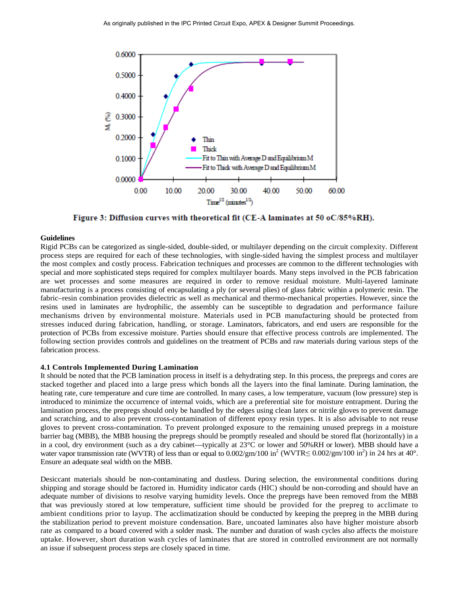

Figure 3: Diffusion curves with theoretical fit (CE-A laminates at 50 oC/85%RH).

#### **Guidelines**

Rigid PCBs can be categorized as single-sided, double-sided, or multilayer depending on the circuit complexity. Different process steps are required for each of these technologies, with single-sided having the simplest process and multilayer the most complex and costly process. Fabrication techniques and processes are common to the different technologies with special and more sophisticated steps required for complex multilayer boards. Many steps involved in the PCB fabrication are wet processes and some measures are required in order to remove residual moisture. Multi-layered laminate manufacturing is a process consisting of encapsulating a ply (or several plies) of glass fabric within a polymeric resin. The fabric–resin combination provides dielectric as well as mechanical and thermo-mechanical properties. However, since the resins used in laminates are hydrophilic, the assembly can be susceptible to degradation and performance failure mechanisms driven by environmental moisture. Materials used in PCB manufacturing should be protected from stresses induced during fabrication, handling, or storage. Laminators, fabricators, and end users are responsible for the protection of PCBs from excessive moisture. Parties should ensure that effective process controls are implemented. The following section provides controls and guidelines on the treatment of PCBs and raw materials during various steps of the fabrication process.

#### **4.1 Controls Implemented During Lamination**

It should be noted that the PCB lamination process in itself is a dehydrating step. In this process, the prepregs and cores are stacked together and placed into a large press which bonds all the layers into the final laminate. During lamination, the heating rate, cure temperature and cure time are controlled. In many cases, a low temperature, vacuum (low pressure) step is introduced to minimize the occurrence of internal voids, which are a preferential site for moisture entrapment. During the lamination process, the prepregs should only be handled by the edges using clean latex or nitrile gloves to prevent damage and scratching, and to also prevent cross-contamination of different epoxy resin types. It is also advisable to not reuse gloves to prevent cross-contamination. To prevent prolonged exposure to the remaining unused prepregs in a moisture barrier bag (MBB), the MBB housing the prepregs should be promptly resealed and should be stored flat (horizontally) in a in a cool, dry environment (such as a dry cabinet—typically at 23°C or lower and 50%RH or lower). MBB should have a water vapor transmission rate (WVTR) of less than or equal to  $0.002/\text{gm}/100$  in<sup>2</sup> (WVTR $\leq 0.002/\text{gm}/100$  in<sup>2</sup>) in 24 hrs at 40°. Ensure an adequate seal width on the MBB.

Desiccant materials should be non-contaminating and dustless. During selection, the environmental conditions during shipping and storage should be factored in. Humidity indicator cards (HIC) should be non-corroding and should have an adequate number of divisions to resolve varying humidity levels. Once the prepregs have been removed from the MBB that was previously stored at low temperature, sufficient time should be provided for the prepreg to acclimate to ambient conditions prior to layup. The acclimatization should be conducted by keeping the prepreg in the MBB during the stabilization period to prevent moisture condensation. Bare, uncoated laminates also have higher moisture absorb rate as compared to a board covered with a solder mask. The number and duration of wash cycles also affects the moisture uptake. However, short duration wash cycles of laminates that are stored in controlled environment are not normally an issue if subsequent process steps are closely spaced in time.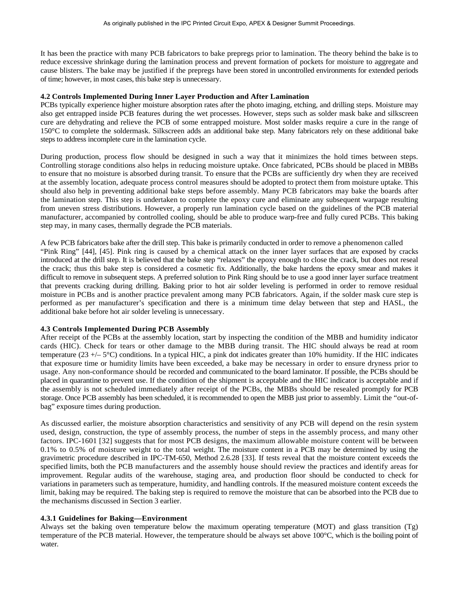It has been the practice with many PCB fabricators to bake prepregs prior to lamination. The theory behind the bake is to reduce excessive shrinkage during the lamination process and prevent formation of pockets for moisture to aggregate and cause blisters. The bake may be justified if the prepregs have been stored in uncontrolled environments for extended periods of time; however, in most cases, this bake step is unnecessary.

## **4.2 Controls Implemented During Inner Layer Production and After Lamination**

PCBs typically experience higher moisture absorption rates after the photo imaging, etching, and drilling steps. Moisture may also get entrapped inside PCB features during the wet processes. However, steps such as solder mask bake and silkscreen cure are dehydrating and relieve the PCB of some entrapped moisture. Most solder masks require a cure in the range of 150°C to complete the soldermask. Silkscreen adds an additional bake step. Many fabricators rely on these additional bake steps to address incomplete cure in the lamination cycle.

During production, process flow should be designed in such a way that it minimizes the hold times between steps. Controlling storage conditions also helps in reducing moisture uptake. Once fabricated, PCBs should be placed in MBBs to ensure that no moisture is absorbed during transit. To ensure that the PCBs are sufficiently dry when they are received at the assembly location, adequate process control measures should be adopted to protect them from moisture uptake. This should also help in preventing additional bake steps before assembly. Many PCB fabricators may bake the boards after the lamination step. This step is undertaken to complete the epoxy cure and eliminate any subsequent warpage resulting from uneven stress distributions. However, a properly run lamination cycle based on the guidelines of the PCB material manufacturer, accompanied by controlled cooling, should be able to produce warp-free and fully cured PCBs. This baking step may, in many cases, thermally degrade the PCB materials.

A few PCB fabricators bake after the drill step. This bake is primarily conducted in order to remove a phenomenon called "Pink Ring" [44], [45]. Pink ring is caused by a chemical attack on the inner layer surfaces that are exposed by cracks introduced at the drill step. It is believed that the bake step "relaxes" the epoxy enough to close the crack, but does not reseal the crack; thus this bake step is considered a cosmetic fix. Additionally, the bake hardens the epoxy smear and makes it difficult to remove in subsequent steps. A preferred solution to Pink Ring should be to use a good inner layer surface treatment that prevents cracking during drilling. Baking prior to hot air solder leveling is performed in order to remove residual moisture in PCBs and is another practice prevalent among many PCB fabricators. Again, if the solder mask cure step is performed as per manufacturer's specification and there is a minimum time delay between that step and HASL, the additional bake before hot air solder leveling is unnecessary.

## **4.3 Controls Implemented During PCB Assembly**

After receipt of the PCBs at the assembly location, start by inspecting the condition of the MBB and humidity indicator cards (HIC). Check for tears or other damage to the MBB during transit. The HIC should always be read at room temperature  $(23 +/- 5^{\circ}C)$  conditions. In a typical HIC, a pink dot indicates greater than 10% humidity. If the HIC indicates that exposure time or humidity limits have been exceeded, a bake may be necessary in order to ensure dryness prior to usage. Any non-conformance should be recorded and communicated to the board laminator. If possible, the PCBs should be placed in quarantine to prevent use. If the condition of the shipment is acceptable and the HIC indicator is acceptable and if the assembly is not scheduled immediately after receipt of the PCBs, the MBBs should be resealed promptly for PCB storage. Once PCB assembly has been scheduled, it is recommended to open the MBB just prior to assembly. Limit the "out-ofbag" exposure times during production.

As discussed earlier, the moisture absorption characteristics and sensitivity of any PCB will depend on the resin system used, design, construction, the type of assembly process, the number of steps in the assembly process, and many other factors. IPC-1601 [32] suggests that for most PCB designs, the maximum allowable moisture content will be between 0.1% to 0.5% of moisture weight to the total weight. The moisture content in a PCB may be determined by using the gravimetric procedure described in IPC-TM-650, Method 2.6.28 [33]. If tests reveal that the moisture content exceeds the specified limits, both the PCB manufacturers and the assembly house should review the practices and identify areas for improvement. Regular audits of the warehouse, staging area, and production floor should be conducted to check for variations in parameters such as temperature, humidity, and handling controls. If the measured moisture content exceeds the limit, baking may be required. The baking step is required to remove the moisture that can be absorbed into the PCB due to the mechanisms discussed in Section 3 earlier.

# **4.3.1 Guidelines for Baking—Environment**

Always set the baking oven temperature below the maximum operating temperature (MOT) and glass transition (Tg) temperature of the PCB material. However, the temperature should be always set above 100°C, which is the boiling point of water.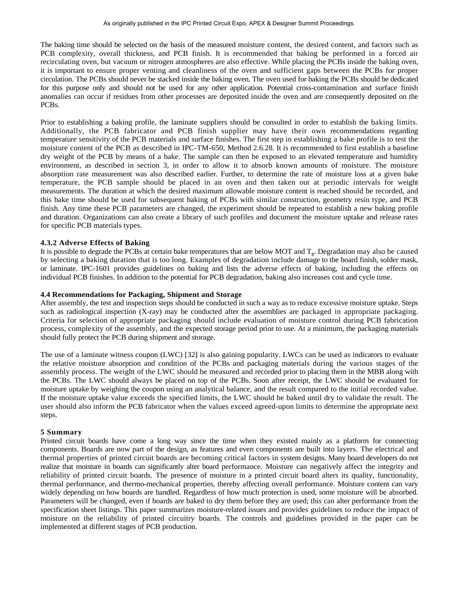The baking time should be selected on the basis of the measured moisture content, the desired content, and factors such as PCB complexity, overall thickness, and PCB finish. It is recommended that baking be performed in a forced air recirculating oven, but vacuum or nitrogen atmospheres are also effective. While placing the PCBs inside the baking oven, it is important to ensure proper venting and cleanliness of the oven and sufficient gaps between the PCBs for proper circulation. The PCBs should never be stacked inside the baking oven. The oven used for baking the PCBs should be dedicated for this purpose only and should not be used for any other application. Potential cross-contamination and surface finish anomalies can occur if residues from other processes are deposited inside the oven and are consequently deposited on the PCBs.

Prior to establishing a baking profile, the laminate suppliers should be consulted in order to establish the baking limits. Additionally, the PCB fabricator and PCB finish supplier may have their own recommendations regarding temperature sensitivity of the PCB materials and surface finishes. The first step in establishing a bake profile is to test the moisture content of the PCB as described in IPC-TM-650, Method 2.6.28. It is recommended to first establish a baseline dry weight of the PCB by means of a bake. The sample can then be exposed to an elevated temperature and humidity environment, as described in section 3, in order to allow it to absorb known amounts of moisture. The moisture absorption rate measurement was also described earlier. Further, to determine the rate of moisture loss at a given bake temperature, the PCB sample should be placed in an oven and then taken out at periodic intervals for weight measurements. The duration at which the desired maximum allowable moisture content is reached should be recorded, and this bake time should be used for subsequent baking of PCBs with similar construction, geometry resin type, and PCB finish. Any time these PCB parameters are changed, the experiment should be repeated to establish a new baking profile and duration. Organizations can also create a library of such profiles and document the moisture uptake and release rates for specific PCB materials types.

## **4.3.2 Adverse Effects of Baking**

It is possible to degrade the PCBs at certain bake temperatures that are below MOT and  $T_g$ . Degradation may also be caused by selecting a baking duration that is too long. Examples of degradation include damage to the board finish, solder mask, or laminate. IPC-1601 provides guidelines on baking and lists the adverse effects of baking, including the effects on individual PCB finishes. In addition to the potential for PCB degradation, baking also increases cost and cycle time.

#### **4.4 Recommendations for Packaging, Shipment and Storage**

After assembly, the test and inspection steps should be conducted in such a way as to reduce excessive moisture uptake. Steps such as radiological inspection (X-ray) may be conducted after the assemblies are packaged in appropriate packaging. Criteria for selection of appropriate packaging should include evaluation of moisture control during PCB fabrication process, complexity of the assembly, and the expected storage period prior to use. At a minimum, the packaging materials should fully protect the PCB during shipment and storage.

The use of a laminate witness coupon (LWC) [32] is also gaining popularity. LWCs can be used as indicators to evaluate the relative moisture absorption and condition of the PCBs and packaging materials during the various stages of the assembly process. The weight of the LWC should be measured and recorded prior to placing them in the MBB along with the PCBs. The LWC should always be placed on top of the PCBs. Soon after receipt, the LWC should be evaluated for moisture uptake by weighing the coupon using an analytical balance, and the result compared to the initial recorded value. If the moisture uptake value exceeds the specified limits, the LWC should be baked until dry to validate the result. The user should also inform the PCB fabricator when the values exceed agreed-upon limits to determine the appropriate next steps.

## **5 Summary**

Printed circuit boards have come a long way since the time when they existed mainly as a platform for connecting components. Boards are now part of the design, as features and even components are built into layers. The electrical and thermal properties of printed circuit boards are becoming critical factors in system designs. Many board developers do not realize that moisture in boards can significantly alter board performance. Moisture can negatively affect the integrity and reliability of printed circuit boards. The presence of moisture in a printed circuit board alters its quality, functionality, thermal performance, and thermo-mechanical properties, thereby affecting overall performance. Moisture content can vary widely depending on how boards are handled. Regardless of how much protection is used, some moisture will be absorbed. Parameters will be changed, even if boards are baked to dry them before they are used; this can alter performance from the specification sheet listings. This paper summarizes moisture-related issues and provides guidelines to reduce the impact of moisture on the reliability of printed circuitry boards. The controls and guidelines provided in the paper can be implemented at different stages of PCB production.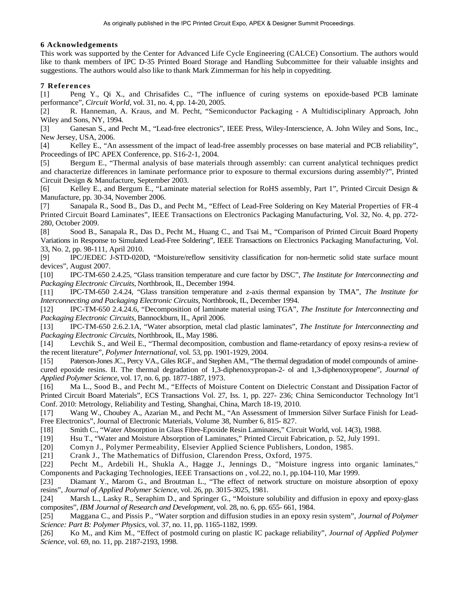# **6 Acknowledgements**

This work was supported by the Center for Advanced Life Cycle Engineering (CALCE) Consortium. The authors would like to thank members of IPC D-35 Printed Board Storage and Handling Subcommittee for their valuable insights and suggestions. The authors would also like to thank Mark Zimmerman for his help in copyediting.

# **7 References**

[1] Peng Y., Qi X., and Chrisafides C., "The influence of curing systems on epoxide-based PCB laminate performance", *Circuit World*, vol. 31, no. 4, pp. 14-20, 2005.

[2] R. Hanneman, A. Kraus, and M. Pecht, "Semiconductor Packaging - A Multidisciplinary Approach, John Wiley and Sons, NY, 1994.

[3] Ganesan S., and Pecht M., "Lead-free electronics", IEEE Press, Wiley-Interscience, A. John Wiley and Sons, Inc., New Jersey, USA, 2006.

[4] Kelley E., "An assessment of the impact of lead-free assembly processes on base material and PCB reliability", Proceedings of IPC APEX Conference, pp. S16-2-1, 2004.

[5] Bergum E., "Thermal analysis of base materials through assembly: can current analytical techniques predict and characterize differences in laminate performance prior to exposure to thermal excursions during assembly?", Printed Circuit Design & Manufacture, September 2003.

[6] Kelley E., and Bergum E., "Laminate material selection for RoHS assembly, Part 1", Printed Circuit Design & Manufacture, pp. 30-34, November 2006.

[7] Sanapala R., Sood B., Das D., and Pecht M., "Effect of Lead-Free Soldering on Key Material Properties of FR-4 Printed Circuit Board Laminates", IEEE Transactions on Electronics Packaging Manufacturing, Vol. 32, No. 4, pp. 272- 280, October 2009.

[8] Sood B., Sanapala R., Das D., Pecht M., Huang C., and Tsai M., "Comparison of Printed Circuit Board Property Variations in Response to Simulated Lead-Free Soldering", IEEE Transactions on Electronics Packaging Manufacturing, Vol. 33, No. 2, pp. 98-111, April 2010.

[9] IPC/JEDEC J-STD-020D, "Moisture/reflow sensitivity classification for non-hermetic solid state surface mount devices", August 2007.

[10] IPC-TM-650 2.4.25, "Glass transition temperature and cure factor by DSC", *The Institute for Interconnecting and Packaging Electronic Circuits*, Northbrook, IL, December 1994.

[11] IPC-TM-650 2.4.24, "Glass transition temperature and z-axis thermal expansion by TMA", *The Institute for Interconnecting and Packaging Electronic Circuits*, Northbrook, IL, December 1994.

[12] IPC-TM-650 2.4.24.6, "Decomposition of laminate material using TGA", *The Institute for Interconnecting and Packaging Electronic Circuits*, Bannockburn, IL, April 2006.

[13] IPC-TM-650 2.6.2.1A, "Water absorption, metal clad plastic laminates", *The Institute for Interconnecting and Packaging Electronic Circuits*, Northbrook, IL, May 1986.

[14] Levchik S., and Weil E., "Thermal decomposition, combustion and flame-retardancy of epoxy resins-a review of the recent literature", *Polymer International*, vol. 53, pp. 1901-1929, 2004.

[15] Paterson-Jones JC., Percy VA., Giles RGF., and Stephen AM., "The thermal degradation of model compounds of aminecured epoxide resins. II. The thermal degradation of 1,3-diphenoxypropan-2- ol and 1,3-diphenoxypropene", *Journal of Applied Polymer Science*, vol. 17, no. 6, pp. 1877-1887, 1973.

[16] Ma L., Sood B., and Pecht M., "Effects of Moisture Content on Dielectric Constant and Dissipation Factor of Printed Circuit Board Materials", ECS Transactions Vol. 27, Iss. 1, pp. 227- 236; China Semiconductor Technology Int'l Conf. 2010: Metrology, Reliability and Testing, Shanghai, China, March 18-19, 2010.

[17] Wang W., Choubey A., Azarian M., and Pecht M., "An Assessment of Immersion Silver Surface Finish for Lead-Free Electronics", Journal of Electronic Materials, Volume 38, Number 6, 815- 827.

[18] Smith C., "Water Absorption in Glass Fibre-Epoxide Resin Laminates," Circuit World, vol. 14(3), 1988.

[19] Hsu T., "Water and Moisture Absorption of Laminates," Printed Circuit Fabrication, p. 52, July 1991.

[20] Comyn J., Polymer Permeability, Elsevier Applied Science Publishers, London, 1985.

[21] Crank J., The Mathematics of Diffusion, Clarendon Press, Oxford, 1975.

[22] Pecht M., Ardebili H., Shukla A., Hagge J., Jennings D., "Moisture ingress into organic laminates," Components and Packaging Technologies, IEEE Transactions on , vol.22, no.1, pp.104-110, Mar 1999.

[23] Diamant Y., Marom G., and Broutman L., "The effect of network structure on moisture absorption of epoxy resins", *Journal of Applied Polymer Science,* vol. 26, pp. 3015-3025, 1981.

[24] Marsh L., Lasky R., Seraphim D., and Springer G., "Moisture solubility and diffusion in epoxy and epoxy-glass composites", *IBM Journal of Research and Development*, vol. 28, no. 6, pp. 655- 661, 1984.

[25] Maggana C., and Pissis P., "Water sorption and diffusion studies in an epoxy resin system", *Journal of Polymer Science: Part B: Polymer Physics,* vol. 37, no. 11, pp. 1165-1182, 1999.

[26] Ko M., and Kim M., "Effect of postmold curing on plastic IC package reliability", *Journal of Applied Polymer Science*, vol. 69, no. 11, pp. 2187-2193, 1998.